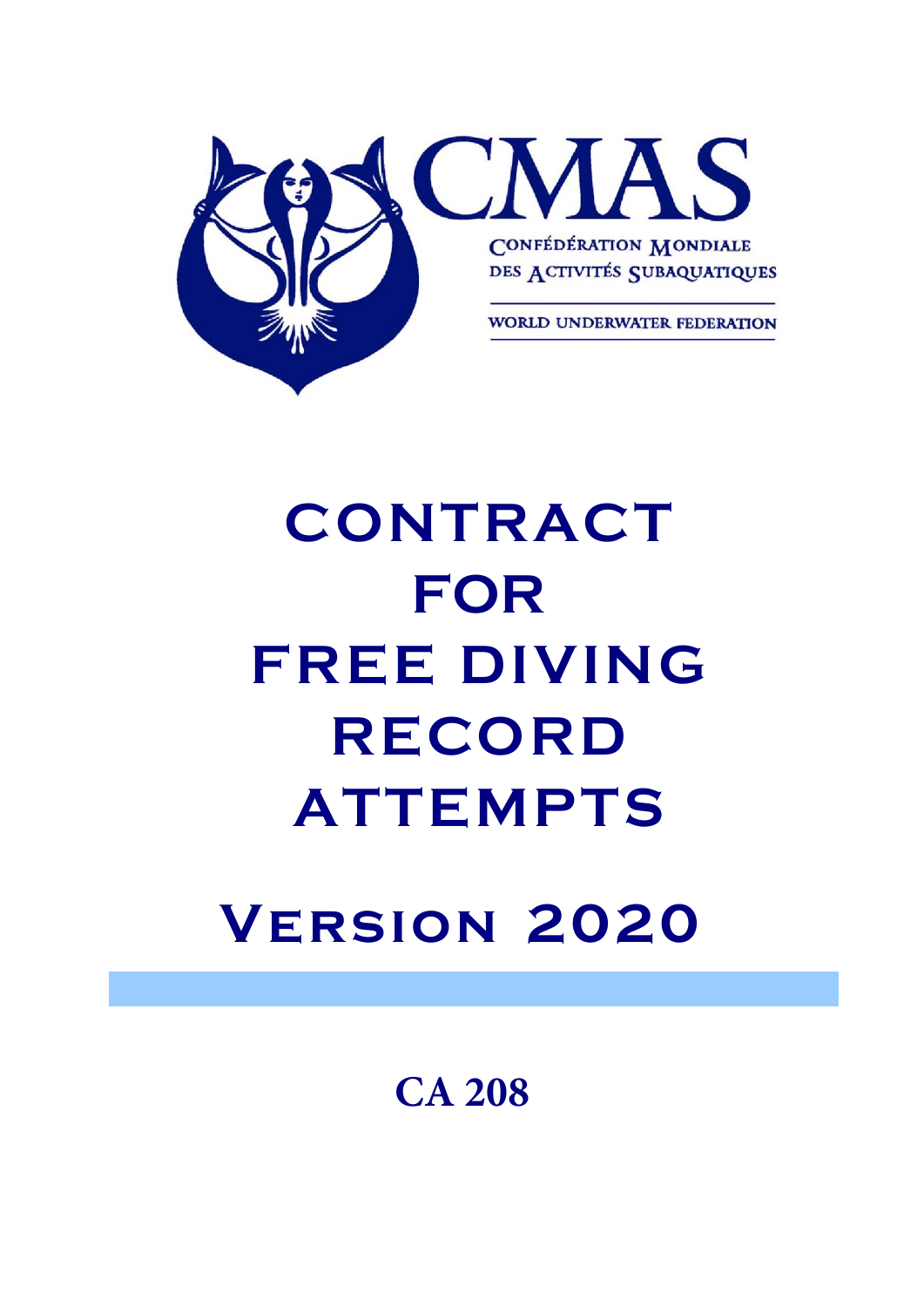

# **CONTRACT FOR FREE DIVING REC ORD ATTEMPTS**

## **Version 2020**

**CA 208**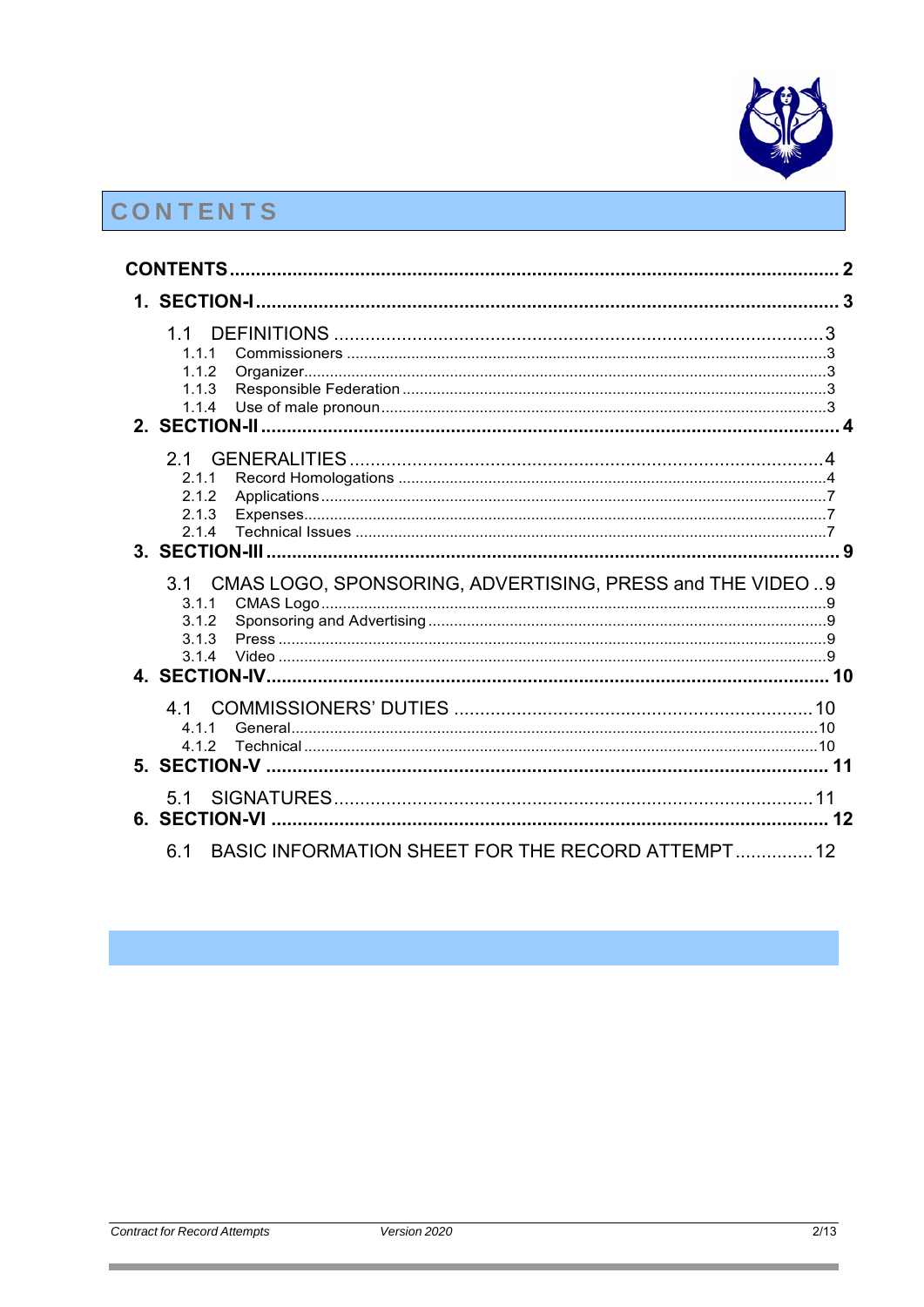

## CONTENTS

| 11<br>1.1.1<br>1.1.2<br>1.1.3<br>1.1.4                                                                |  |
|-------------------------------------------------------------------------------------------------------|--|
| 2.1<br>2.1.1<br>2.1.2<br>2.1.3<br>2.1.4                                                               |  |
| CMAS LOGO, SPONSORING, ADVERTISING, PRESS and THE VIDEO  9<br>3.1<br>3.1.1<br>3.1.2<br>3.1.3<br>3.1.4 |  |
| 41<br>4 1 1<br>412                                                                                    |  |
| 5.1                                                                                                   |  |
| BASIC INFORMATION SHEET FOR THE RECORD ATTEMPT 12<br>6.1                                              |  |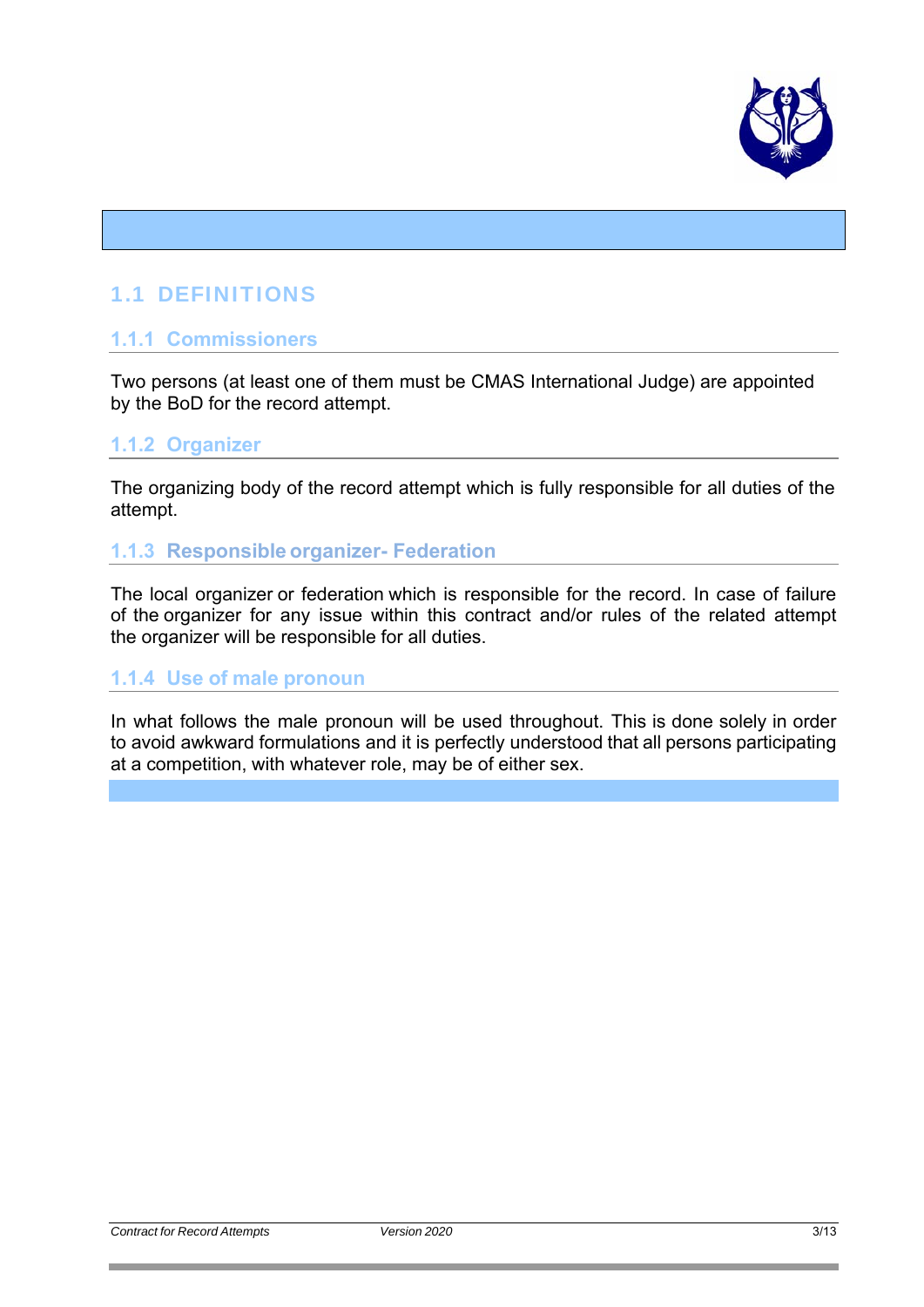

## 1.1 DEFINITIONS

## **1.1.1 Commissioners**

Two persons (at least one of them must be CMAS International Judge) are appointed by the BoD for the record attempt.

## **1.1.2 Organizer**

The organizing body of the record attempt which is fully responsible for all duties of the attempt.

## **1.1.3 Responsible organizer- Federation**

The local organizer or federation which is responsible for the record. In case of failure of the organizer for any issue within this contract and/or rules of the related attempt the organizer will be responsible for all duties.

## **1.1.4 Use of male pronoun**

In what follows the male pronoun will be used throughout. This is done solely in order to avoid awkward formulations and it is perfectly understood that all persons participating at a competition, with whatever role, may be of either sex.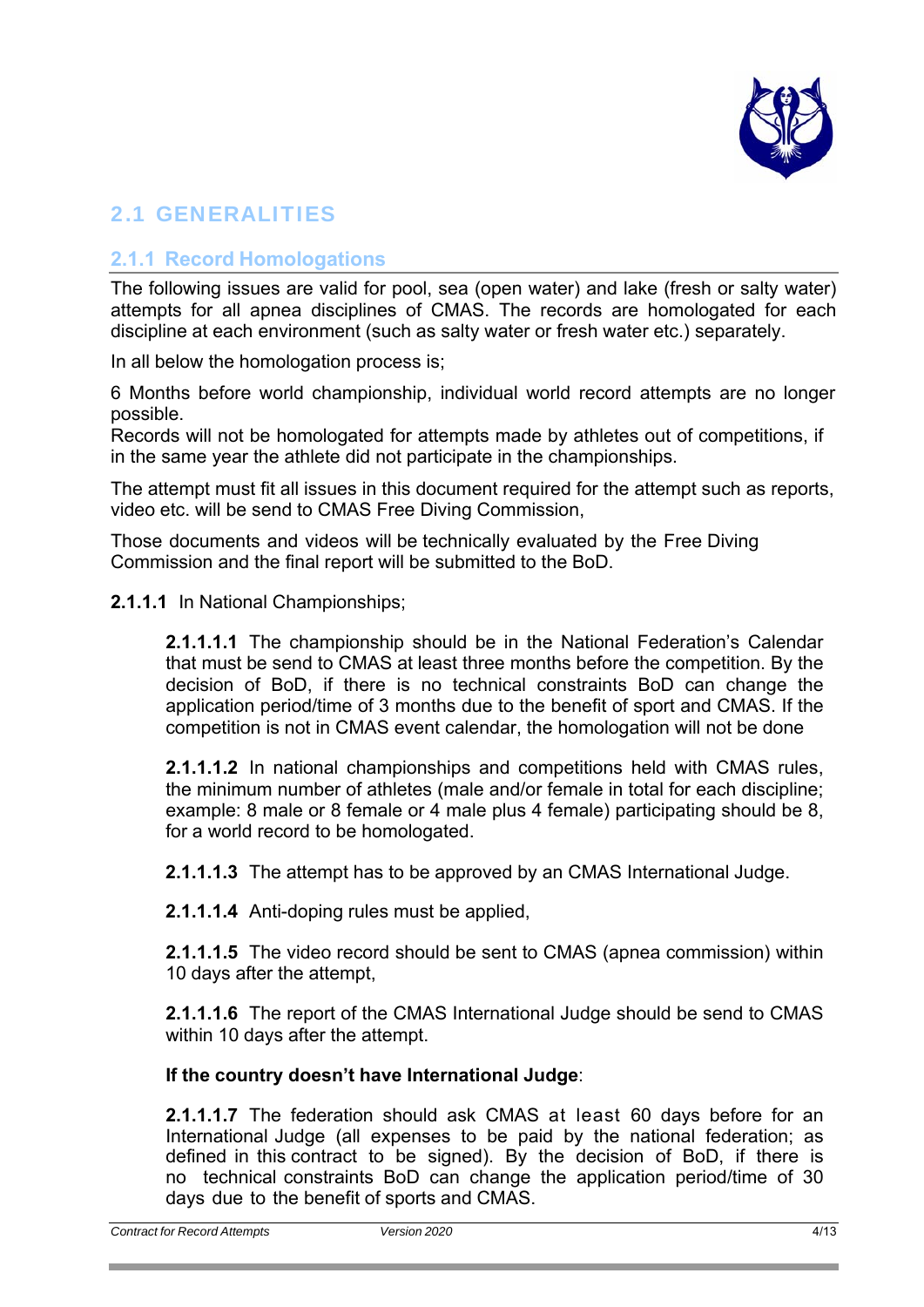

## 2.1 GENERALITIES

## **2.1.1 Record Homologations**

The following issues are valid for pool, sea (open water) and lake (fresh or salty water) attempts for all apnea disciplines of CMAS. The records are homologated for each discipline at each environment (such as salty water or fresh water etc.) separately.

In all below the homologation process is;

6 Months before world championship, individual world record attempts are no longer possible.

Records will not be homologated for attempts made by athletes out of competitions, if in the same year the athlete did not participate in the championships.

The attempt must fit all issues in this document required for the attempt such as reports, video etc. will be send to CMAS Free Diving Commission,

Those documents and videos will be technically evaluated by the Free Diving Commission and the final report will be submitted to the BoD.

**2.1.1.1** In National Championships;

**2.1.1.1.1** The championship should be in the National Federation's Calendar that must be send to CMAS at least three months before the competition. By the decision of BoD, if there is no technical constraints BoD can change the application period/time of 3 months due to the benefit of sport and CMAS. If the competition is not in CMAS event calendar, the homologation will not be done

**2.1.1.1.2** In national championships and competitions held with CMAS rules, the minimum number of athletes (male and/or female in total for each discipline; example: 8 male or 8 female or 4 male plus 4 female) participating should be 8, for a world record to be homologated.

**2.1.1.1.3** The attempt has to be approved by an CMAS International Judge.

**2.1.1.1.4** Anti-doping rules must be applied,

**2.1.1.1.5** The video record should be sent to CMAS (apnea commission) within 10 days after the attempt,

**2.1.1.1.6** The report of the CMAS International Judge should be send to CMAS within 10 days after the attempt.

## **If the country doesn't have International Judge**:

**2.1.1.1.7** The federation should ask CMAS at least 60 days before for an International Judge (all expenses to be paid by the national federation; as defined in this contract to be signed). By the decision of BoD, if there is no technical constraints BoD can change the application period/time of 30 days due to the benefit of sports and CMAS.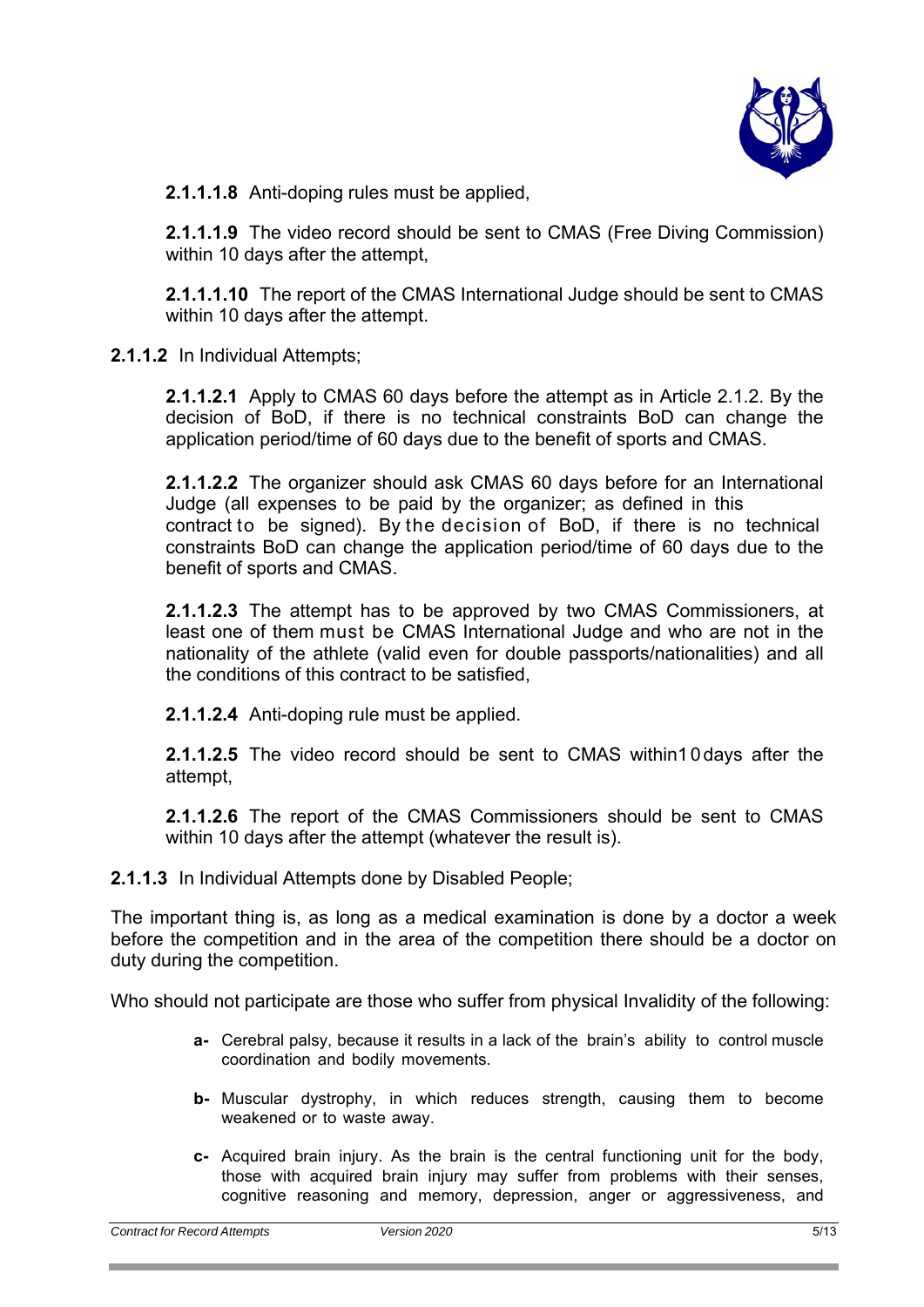

**2.1.1.1.8** Anti-doping rules must be applied,

**2.1.1.1.9** The video record should be sent to CMAS (Free Diving Commission) within 10 days after the attempt,

**2.1.1.1.10** The report of the CMAS International Judge should be sent to CMAS within 10 days after the attempt.

**2.1.1.2** In Individual Attempts;

**2.1.1.2.1** Apply to CMAS 60 days before the attempt as in Article 2.1.2. By the decision of BoD, if there is no technical constraints BoD can change the application period/time of 60 days due to the benefit of sports and CMAS.

**2.1.1.2.2** The organizer should ask CMAS 60 days before for an International Judge (all expenses to be paid by the organizer; as defined in this contract to be signed). By the decision of BoD, if there is no technical constraints BoD can change the application period/time of 60 days due to the benefit of sports and CMAS.

**2.1.1.2.3** The attempt has to be approved by two CMAS Commissioners, at least one of them must be CMAS International Judge and who are not in the nationality of the athlete (valid even for double passports/nationalities) and all the conditions of this contract to be satisfied,

**2.1.1.2.4** Anti-doping rule must be applied.

**2.1.1.2.5** The video record should be sent to CMAS within10days after the attempt,

**2.1.1.2.6** The report of the CMAS Commissioners should be sent to CMAS within 10 days after the attempt (whatever the result is).

**2.1.1.3** In Individual Attempts done by Disabled People;

The important thing is, as long as a medical examination is done by a doctor a week before the competition and in the area of the competition there should be a doctor on duty during the competition.

Who should not participate are those who suffer from physical Invalidity of the following:

- **a-** Cerebral palsy, because it results in a lack of the brain's ability to control muscle coordination and bodily movements.
- **b-** Muscular dystrophy, in which reduces strength, causing them to become weakened or to waste away.
- **c-** Acquired brain injury. As the brain is the central functioning unit for the body, those with acquired brain injury may suffer from problems with their senses, cognitive reasoning and memory, depression, anger or aggressiveness, and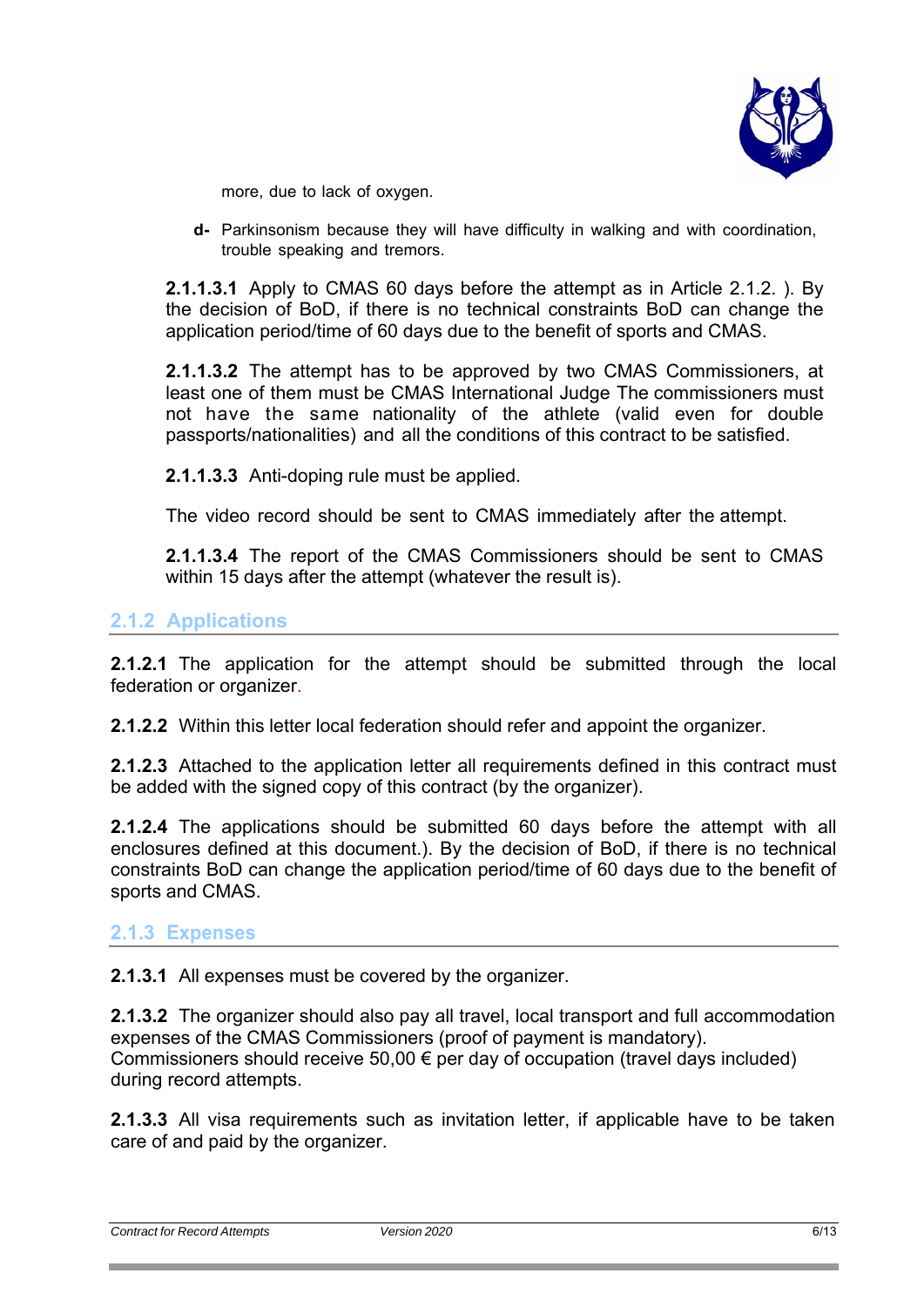

more, due to lack of oxygen.

**d-** Parkinsonism because they will have difficulty in walking and with coordination, trouble speaking and tremors.

**2.1.1.3.1** Apply to CMAS 60 days before the attempt as in Article 2.1.2. ). By the decision of BoD, if there is no technical constraints BoD can change the application period/time of 60 days due to the benefit of sports and CMAS.

**2.1.1.3.2** The attempt has to be approved by two CMAS Commissioners, at least one of them must be CMAS International Judge The commissioners must not have the same nationality of the athlete (valid even for double passports/nationalities) and all the conditions of this contract to be satisfied.

**2.1.1.3.3** Anti-doping rule must be applied.

The video record should be sent to CMAS immediately after the attempt.

**2.1.1.3.4** The report of the CMAS Commissioners should be sent to CMAS within 15 days after the attempt (whatever the result is).

## **2.1.2 Applications**

**2.1.2.1** The application for the attempt should be submitted through the local federation or organizer.

**2.1.2.2** Within this letter local federation should refer and appoint the organizer.

**2.1.2.3** Attached to the application letter all requirements defined in this contract must be added with the signed copy of this contract (by the organizer).

**2.1.2.4** The applications should be submitted 60 days before the attempt with all enclosures defined at this document.). By the decision of BoD, if there is no technical constraints BoD can change the application period/time of 60 days due to the benefit of sports and CMAS.

## **2.1.3 Expenses**

**2.1.3.1** All expenses must be covered by the organizer.

**2.1.3.2** The organizer should also pay all travel, local transport and full accommodation expenses of the CMAS Commissioners (proof of payment is mandatory). Commissioners should receive 50,00  $\epsilon$  per day of occupation (travel days included) during record attempts.

**2.1.3.3** All visa requirements such as invitation letter, if applicable have to be taken care of and paid by the organizer.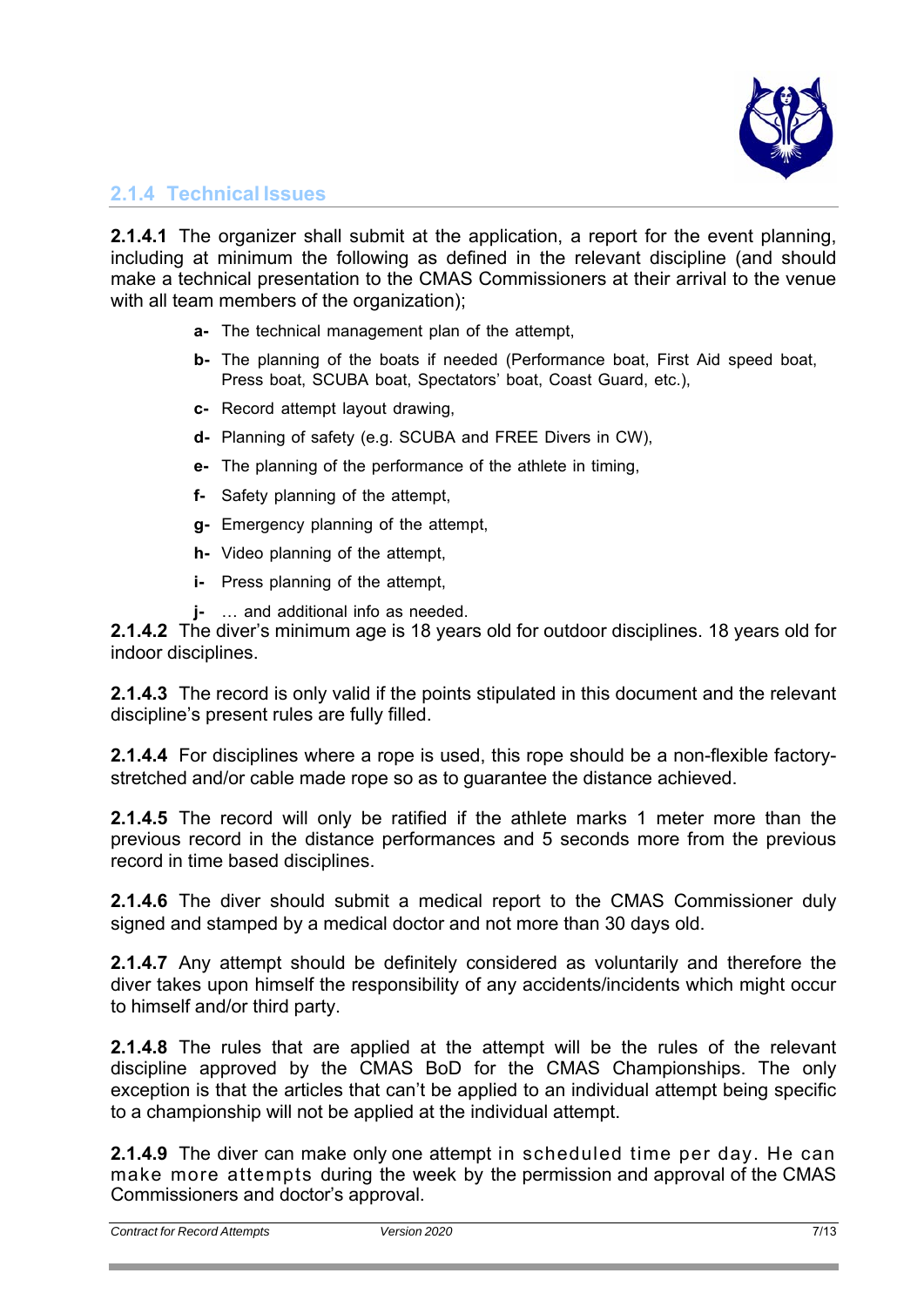

## **2.1.4 Technical Issues**

**2.1.4.1** The organizer shall submit at the application, a report for the event planning, including at minimum the following as defined in the relevant discipline (and should make a technical presentation to the CMAS Commissioners at their arrival to the venue with all team members of the organization);

- **a-** The technical management plan of the attempt,
- **b-** The planning of the boats if needed (Performance boat, First Aid speed boat, Press boat, SCUBA boat, Spectators' boat, Coast Guard, etc.),
- **c-** Record attempt layout drawing,
- **d-** Planning of safety (e.g. SCUBA and FREE Divers in CW),
- **e-** The planning of the performance of the athlete in timing,
- **f-** Safety planning of the attempt,
- **g-** Emergency planning of the attempt,
- **h-** Video planning of the attempt,
- **i-** Press planning of the attempt,
- **j-** … and additional info as needed.

**2.1.4.2** The diver's minimum age is 18 years old for outdoor disciplines. 18 years old for indoor disciplines.

**2.1.4.3** The record is only valid if the points stipulated in this document and the relevant discipline's present rules are fully filled.

**2.1.4.4** For disciplines where a rope is used, this rope should be a non-flexible factorystretched and/or cable made rope so as to guarantee the distance achieved.

**2.1.4.5** The record will only be ratified if the athlete marks 1 meter more than the previous record in the distance performances and 5 seconds more from the previous record in time based disciplines.

**2.1.4.6** The diver should submit a medical report to the CMAS Commissioner duly signed and stamped by a medical doctor and not more than 30 days old.

**2.1.4.7** Any attempt should be definitely considered as voluntarily and therefore the diver takes upon himself the responsibility of any accidents/incidents which might occur to himself and/or third party.

**2.1.4.8** The rules that are applied at the attempt will be the rules of the relevant discipline approved by the CMAS BoD for the CMAS Championships. The only exception is that the articles that can't be applied to an individual attempt being specific to a championship will not be applied at the individual attempt.

**2.1.4.9** The diver can make only one attempt in scheduled time per day. He can make more attempts during the week by the permission and approval of the CMAS Commissioners and doctor's approval.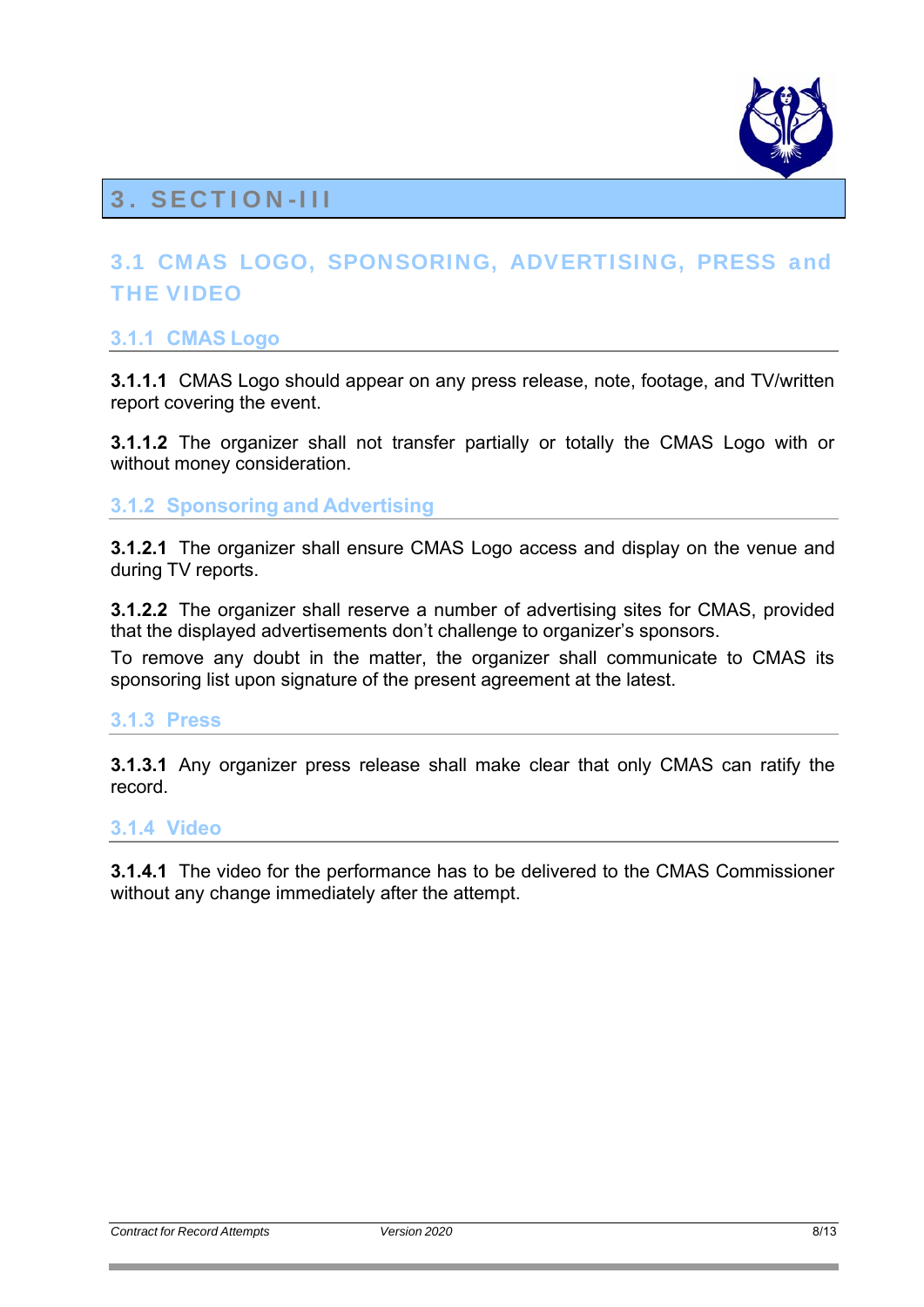

## 3. SECTION-III

## 3.1 CMAS LOGO, SPONSORING, ADVERTISING, PRESS and THE VIDEO

## **3.1.1 CMAS Logo**

**3.1.1.1** CMAS Logo should appear on any press release, note, footage, and TV/written report covering the event.

**3.1.1.2** The organizer shall not transfer partially or totally the CMAS Logo with or without money consideration.

## **3.1.2 Sponsoring and Advertising**

**3.1.2.1** The organizer shall ensure CMAS Logo access and display on the venue and during TV reports.

**3.1.2.2** The organizer shall reserve a number of advertising sites for CMAS, provided that the displayed advertisements don't challenge to organizer's sponsors.

To remove any doubt in the matter, the organizer shall communicate to CMAS its sponsoring list upon signature of the present agreement at the latest.

## **3.1.3 Press**

**3.1.3.1** Any organizer press release shall make clear that only CMAS can ratify the record.

## **3.1.4 Video**

**3.1.4.1** The video for the performance has to be delivered to the CMAS Commissioner without any change immediately after the attempt.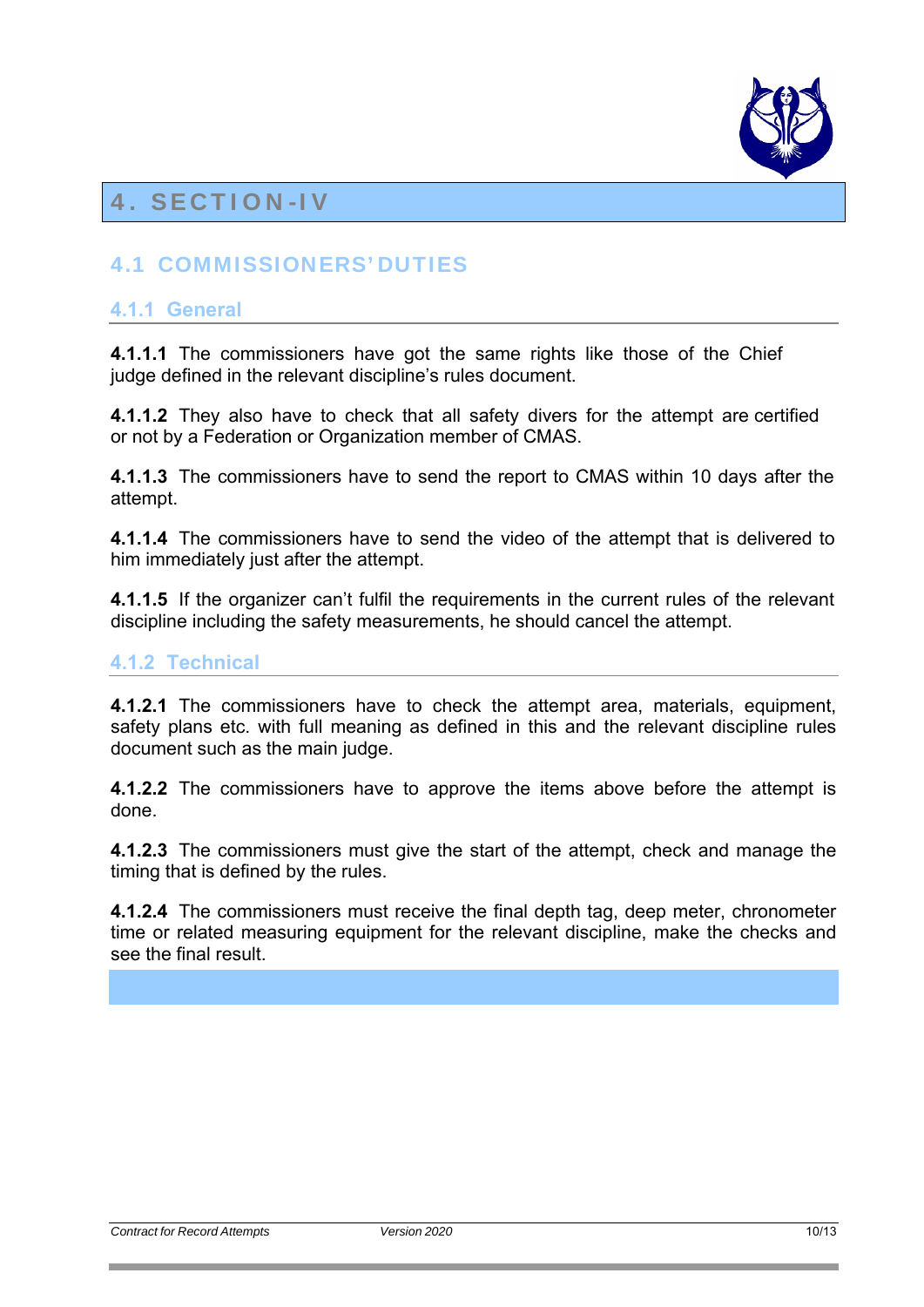

## 4. SECTION-IV

## 4.1 COMMISSIONERS' DUTIES

## **4.1.1 General**

**4.1.1.1** The commissioners have got the same rights like those of the Chief judge defined in the relevant discipline's rules document.

**4.1.1.2** They also have to check that all safety divers for the attempt are certified or not by a Federation or Organization member of CMAS.

**4.1.1.3** The commissioners have to send the report to CMAS within 10 days after the attempt.

**4.1.1.4** The commissioners have to send the video of the attempt that is delivered to him immediately just after the attempt.

**4.1.1.5** If the organizer can't fulfil the requirements in the current rules of the relevant discipline including the safety measurements, he should cancel the attempt.

## **4.1.2 Technical**

**4.1.2.1** The commissioners have to check the attempt area, materials, equipment, safety plans etc. with full meaning as defined in this and the relevant discipline rules document such as the main judge.

**4.1.2.2** The commissioners have to approve the items above before the attempt is done.

**4.1.2.3** The commissioners must give the start of the attempt, check and manage the timing that is defined by the rules.

**4.1.2.4** The commissioners must receive the final depth tag, deep meter, chronometer time or related measuring equipment for the relevant discipline, make the checks and see the final result.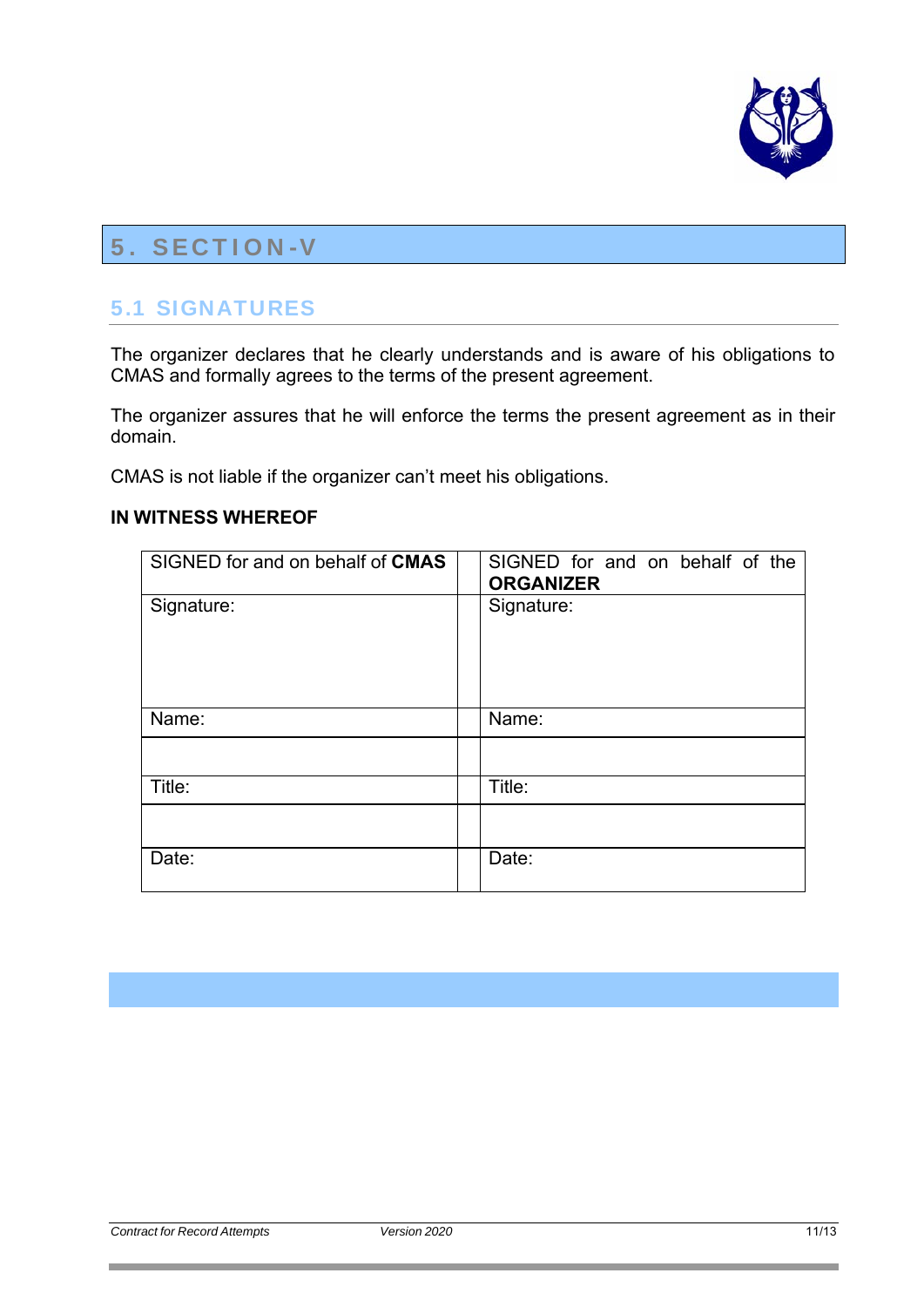

## 5. SECTION-V

## 5.1 SIGNATURES

The organizer declares that he clearly understands and is aware of his obligations to CMAS and formally agrees to the terms of the present agreement.

The organizer assures that he will enforce the terms the present agreement as in their domain.

CMAS is not liable if the organizer can't meet his obligations.

| SIGNED for and on behalf of CMAS | SIGNED for and on behalf of the<br><b>ORGANIZER</b> |
|----------------------------------|-----------------------------------------------------|
| Signature:                       | Signature:                                          |
| Name:                            | Name:                                               |
|                                  |                                                     |
| Title:                           | Title:                                              |
|                                  |                                                     |
| Date:                            | Date:                                               |

#### **IN WITNESS WHEREOF**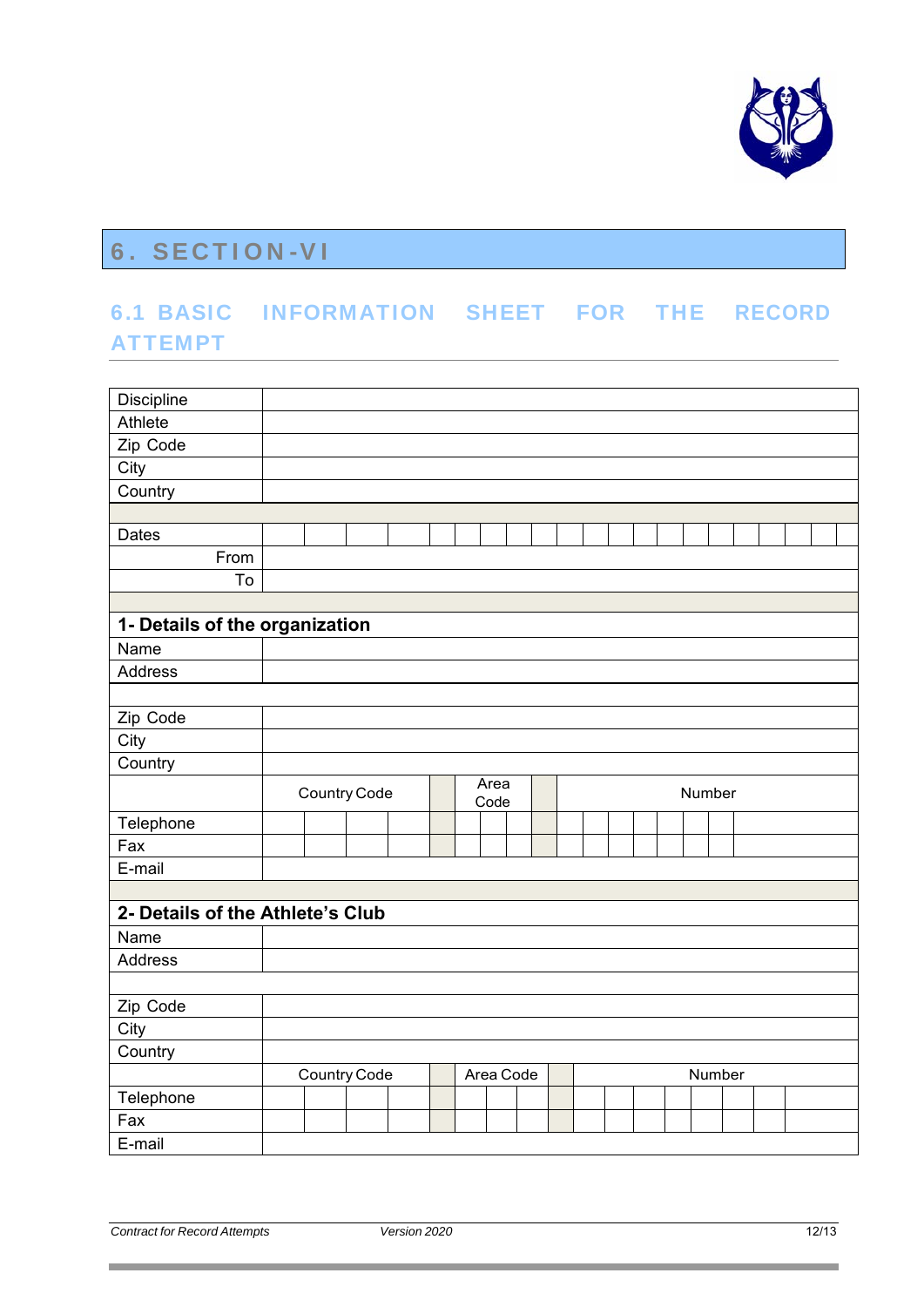

## 6. SECTION-VI

## 6.1 BASIC INFORMATION SHEET FOR THE RECORD ATTEMPT

| Discipline                       |                                        |  |  |  |  |  |  |  |  |
|----------------------------------|----------------------------------------|--|--|--|--|--|--|--|--|
| Athlete                          |                                        |  |  |  |  |  |  |  |  |
| Zip Code                         |                                        |  |  |  |  |  |  |  |  |
| City                             |                                        |  |  |  |  |  |  |  |  |
| Country                          |                                        |  |  |  |  |  |  |  |  |
|                                  |                                        |  |  |  |  |  |  |  |  |
| Dates                            |                                        |  |  |  |  |  |  |  |  |
| From                             |                                        |  |  |  |  |  |  |  |  |
| To                               |                                        |  |  |  |  |  |  |  |  |
|                                  |                                        |  |  |  |  |  |  |  |  |
| 1- Details of the organization   |                                        |  |  |  |  |  |  |  |  |
| Name                             |                                        |  |  |  |  |  |  |  |  |
| <b>Address</b>                   |                                        |  |  |  |  |  |  |  |  |
|                                  |                                        |  |  |  |  |  |  |  |  |
| Zip Code                         |                                        |  |  |  |  |  |  |  |  |
| City                             |                                        |  |  |  |  |  |  |  |  |
| Country                          |                                        |  |  |  |  |  |  |  |  |
|                                  | Area<br>Country Code<br>Number<br>Code |  |  |  |  |  |  |  |  |
| Telephone                        |                                        |  |  |  |  |  |  |  |  |
| Fax                              |                                        |  |  |  |  |  |  |  |  |
| E-mail                           |                                        |  |  |  |  |  |  |  |  |
|                                  |                                        |  |  |  |  |  |  |  |  |
| 2- Details of the Athlete's Club |                                        |  |  |  |  |  |  |  |  |
| Name                             |                                        |  |  |  |  |  |  |  |  |
| Address                          |                                        |  |  |  |  |  |  |  |  |
|                                  |                                        |  |  |  |  |  |  |  |  |
| Zip Code                         |                                        |  |  |  |  |  |  |  |  |
| City                             |                                        |  |  |  |  |  |  |  |  |
| Country                          |                                        |  |  |  |  |  |  |  |  |
|                                  | Country Code<br>Area Code<br>Number    |  |  |  |  |  |  |  |  |
| Telephone                        |                                        |  |  |  |  |  |  |  |  |
| Fax                              |                                        |  |  |  |  |  |  |  |  |
| E-mail                           |                                        |  |  |  |  |  |  |  |  |